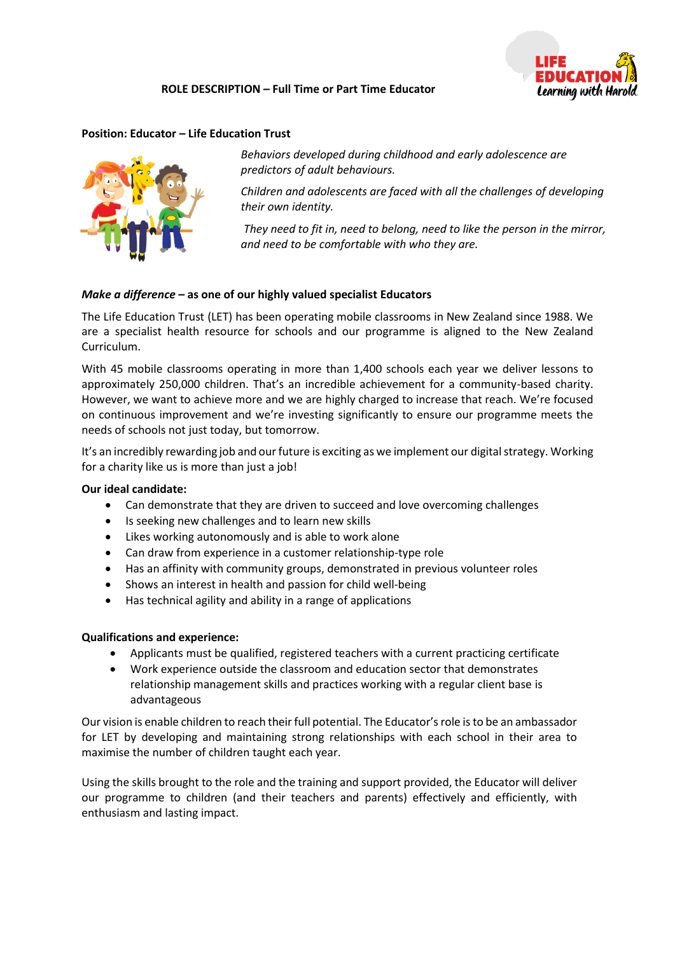#### **ROLE DESCRIPTION – Full Time or Part Time Educator**



#### **Position: Educator – Life Education Trust**



*Behaviors developed during childhood and early adolescence are predictors of adult behaviours.* 

*Children and adolescents are faced with all the challenges of developing their own identity.*

*They need to fit in, need to belong, need to like the person in the mirror, and need to be comfortable with who they are.*

#### *Make a difference –* **as one of our highly valued specialist Educators**

The Life Education Trust (LET) has been operating mobile classrooms in New Zealand since 1988. We are a specialist health resource for schools and our programme is aligned to the New Zealand Curriculum.

With 45 mobile classrooms operating in more than 1,400 schools each year we deliver lessons to approximately 250,000 children. That's an incredible achievement for a community-based charity. However, we want to achieve more and we are highly charged to increase that reach. We're focused on continuous improvement and we're investing significantly to ensure our programme meets the needs of schools not just today, but tomorrow.

It's an incredibly rewarding job and our future is exciting as we implement our digital strategy. Working for a charity like us is more than just a job!

#### **Our ideal candidate:**

- Can demonstrate that they are driven to succeed and love overcoming challenges
- Is seeking new challenges and to learn new skills
- Likes working autonomously and is able to work alone
- Can draw from experience in a customer relationship-type role
- Has an affinity with community groups, demonstrated in previous volunteer roles
- Shows an interest in health and passion for child well-being
- Has technical agility and ability in a range of applications

#### **Qualifications and experience:**

- Applicants must be qualified, registered teachers with a current practicing certificate
- Work experience outside the classroom and education sector that demonstrates relationship management skills and practices working with a regular client base is advantageous

Our vision is enable children to reach their full potential. The Educator'srole is to be an ambassador for LET by developing and maintaining strong relationships with each school in their area to maximise the number of children taught each year.

Using the skills brought to the role and the training and support provided, the Educator will deliver our programme to children (and their teachers and parents) effectively and efficiently, with enthusiasm and lasting impact.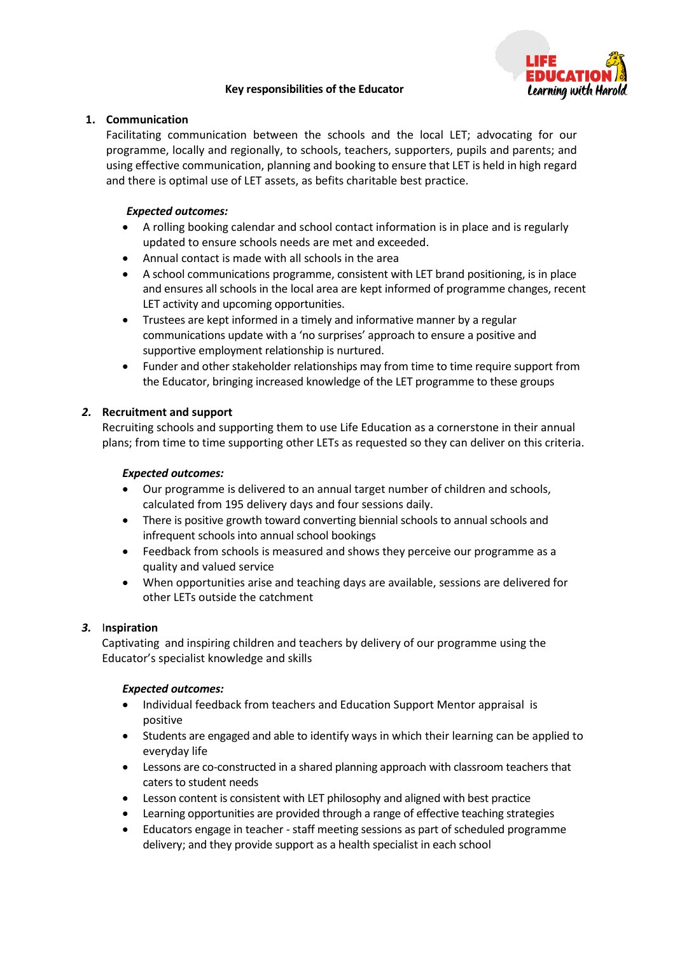## **Key responsibilities of the Educator**



## **1. Communication**

Facilitating communication between the schools and the local LET; advocating for our programme, locally and regionally, to schools, teachers, supporters, pupils and parents; and using effective communication, planning and booking to ensure that LET is held in high regard and there is optimal use of LET assets, as befits charitable best practice.

## *Expected outcomes:*

- A rolling booking calendar and school contact information is in place and is regularly updated to ensure schools needs are met and exceeded.
- Annual contact is made with all schools in the area
- A school communications programme, consistent with LET brand positioning, is in place and ensures all schools in the local area are kept informed of programme changes, recent LET activity and upcoming opportunities.
- Trustees are kept informed in a timely and informative manner by a regular communications update with a 'no surprises' approach to ensure a positive and supportive employment relationship is nurtured.
- Funder and other stakeholder relationships may from time to time require support from the Educator, bringing increased knowledge of the LET programme to these groups

## *2.* **Recruitment and support**

Recruiting schools and supporting them to use Life Education as a cornerstone in their annual plans; from time to time supporting other LETs as requested so they can deliver on this criteria.

#### *Expected outcomes:*

- Our programme is delivered to an annual target number of children and schools, calculated from 195 delivery days and four sessions daily.
- There is positive growth toward converting biennial schools to annual schools and infrequent schools into annual school bookings
- Feedback from schools is measured and shows they perceive our programme as a quality and valued service
- When opportunities arise and teaching days are available, sessions are delivered for other LETs outside the catchment

## *3.* I**nspiration**

Captivating and inspiring children and teachers by delivery of our programme using the Educator's specialist knowledge and skills

## *Expected outcomes:*

- Individual feedback from teachers and Education Support Mentor appraisal is positive
- Students are engaged and able to identify ways in which their learning can be applied to everyday life
- Lessons are co-constructed in a shared planning approach with classroom teachers that caters to student needs
- Lesson content is consistent with LET philosophy and aligned with best practice
- Learning opportunities are provided through a range of effective teaching strategies
- Educators engage in teacher staff meeting sessions as part of scheduled programme delivery; and they provide support as a health specialist in each school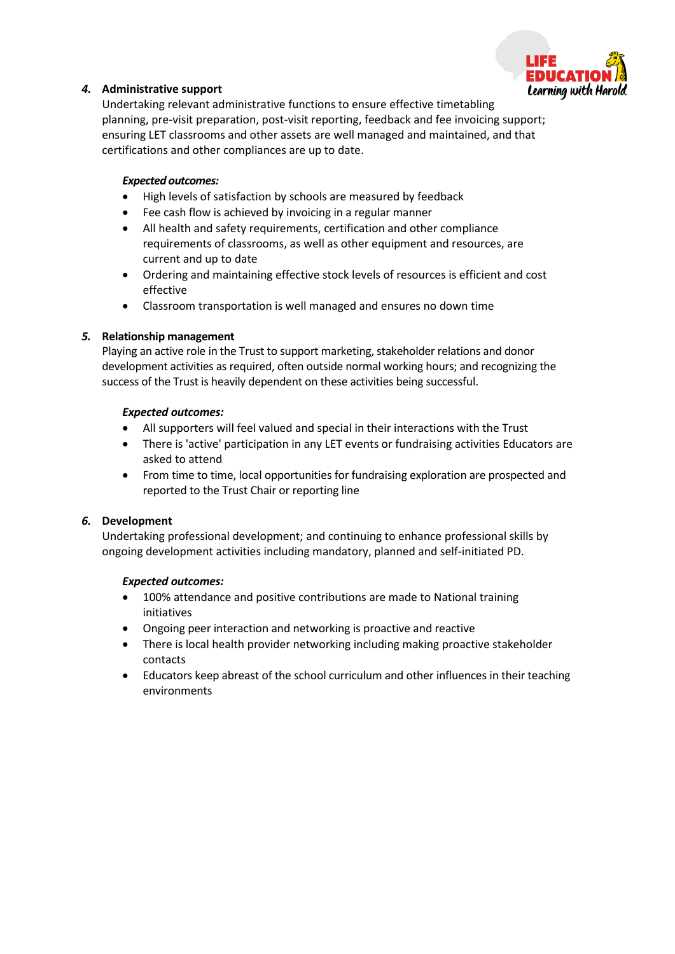

## *4.* **Administrative support**

Undertaking relevant administrative functions to ensure effective timetabling planning, pre-visit preparation, post-visit reporting, feedback and fee invoicing support; ensuring LET classrooms and other assets are well managed and maintained, and that certifications and other compliances are up to date.

## *Expected outcomes:*

- High levels of satisfaction by schools are measured by feedback
- Fee cash flow is achieved by invoicing in a regular manner
- All health and safety requirements, certification and other compliance requirements of classrooms, as well as other equipment and resources, are current and up to date
- Ordering and maintaining effective stock levels of resources is efficient and cost effective
- Classroom transportation is well managed and ensures no down time

## *5.* **Relationship management**

Playing an active role in the Trust to support marketing, stakeholder relations and donor development activities as required, often outside normal working hours; and recognizing the success of the Trust is heavily dependent on these activities being successful.

## *Expected outcomes:*

- All supporters will feel valued and special in their interactions with the Trust
- There is 'active' participation in any LET events or fundraising activities Educators are asked to attend
- From time to time, local opportunities for fundraising exploration are prospected and reported to the Trust Chair or reporting line

# *6.* **Development**

Undertaking professional development; and continuing to enhance professional skills by ongoing development activities including mandatory, planned and self-initiated PD.

## *Expected outcomes:*

- 100% attendance and positive contributions are made to National training initiatives
- Ongoing peer interaction and networking is proactive and reactive
- There is local health provider networking including making proactive stakeholder contacts
- Educators keep abreast of the school curriculum and other influences in their teaching environments